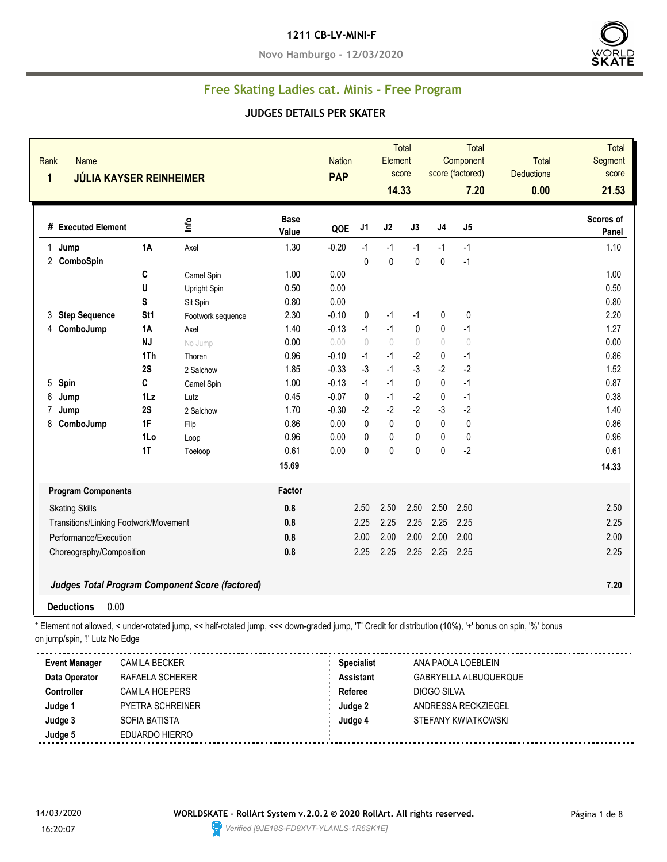#### **1211 CB-LV-MINI-F**

**Novo Hamburgo - 12/03/2020**



## **Free Skating Ladies cat. Minis - Free Program**

#### **JUDGES DETAILS PER SKATER**

| Rank<br>$\mathbf{1}$ | <b>Name</b><br><b>JÚLIA KAYSER REINHEIMER</b> |                      |                                                                                                                                                          |                      | <b>Nation</b><br><b>PAP</b> |                   | Element     | Total<br>score                   |              | Total<br>Component<br>score (factored) | <b>Total</b><br><b>Deductions</b> | <b>Total</b><br><b>Segment</b><br>score |
|----------------------|-----------------------------------------------|----------------------|----------------------------------------------------------------------------------------------------------------------------------------------------------|----------------------|-----------------------------|-------------------|-------------|----------------------------------|--------------|----------------------------------------|-----------------------------------|-----------------------------------------|
|                      |                                               |                      |                                                                                                                                                          |                      |                             |                   | 14.33       |                                  |              | 7.20                                   | 0.00                              | 21.53                                   |
|                      | # Executed Element                            |                      | lnfo                                                                                                                                                     | <b>Base</b><br>Value | QOE                         | J <sub>1</sub>    | J2          | J3                               | J4           | J5                                     |                                   | Scores of<br>Panel                      |
| $\mathbf{1}$<br>Jump |                                               | 1A                   | Axel                                                                                                                                                     | 1.30                 | $-0.20$                     | $-1$              | $-1$        | $-1$                             | $-1$         | $-1$                                   |                                   | 1.10                                    |
|                      | 2 ComboSpin                                   |                      |                                                                                                                                                          |                      |                             | $\Omega$          | 0           | $\mathbf{0}$                     | $\mathbf{0}$ | $-1$                                   |                                   |                                         |
|                      |                                               | C                    | Camel Spin                                                                                                                                               | 1.00                 | 0.00                        |                   |             |                                  |              |                                        |                                   | 1.00                                    |
|                      |                                               | U                    | Upright Spin                                                                                                                                             | 0.50                 | 0.00                        |                   |             |                                  |              |                                        |                                   | 0.50                                    |
|                      |                                               | S                    | Sit Spin                                                                                                                                                 | 0.80                 | 0.00                        |                   |             |                                  |              |                                        |                                   | 0.80                                    |
| 3                    | <b>Step Sequence</b>                          | St1                  | Footwork sequence                                                                                                                                        | 2.30                 | $-0.10$                     | $\mathbf 0$       | $-1$        | $-1$                             | 0            | $\pmb{0}$                              |                                   | 2.20                                    |
| 4                    | ComboJump                                     | 1A                   | Axel                                                                                                                                                     | 1.40                 | $-0.13$                     | $-1$              | $-1$        | $\pmb{0}$                        | 0            | $-1$                                   |                                   | 1.27                                    |
|                      |                                               | <b>NJ</b>            | No Jump                                                                                                                                                  | 0.00                 | 0.00                        | $\bigcirc$        | $\bigcirc$  | $\begin{array}{c} \n\end{array}$ | $\sqrt{ }$   | $\bigcirc$                             |                                   | 0.00                                    |
|                      |                                               | 1Th                  | Thoren                                                                                                                                                   | 0.96                 | $-0.10$                     | $-1$              | $-1$        | $-2$                             | $\mathbf{0}$ | $-1$                                   |                                   | 0.86                                    |
|                      |                                               | 2S                   | 2 Salchow                                                                                                                                                | 1.85                 | $-0.33$                     | $-3$              | $-1$        | $-3$                             | $-2$         | $-2$                                   |                                   | 1.52                                    |
| 5<br>Spin            |                                               | C                    | Camel Spin                                                                                                                                               | 1.00                 | $-0.13$                     | $-1$              | $-1$        | $\mathbf 0$                      | $\mathbf{0}$ | $-1$                                   |                                   | 0.87                                    |
| 6<br>Jump            |                                               | 1 <sub>Lz</sub>      | Lutz                                                                                                                                                     | 0.45                 | $-0.07$                     | $\mathbf 0$       | $-1$        | $-2$                             | 0            | $-1$                                   |                                   | 0.38                                    |
| 7<br>Jump            |                                               | 2S                   | 2 Salchow                                                                                                                                                | 1.70                 | $-0.30$                     | $-2$              | $-2$        | $-2$                             | $-3$         | $-2$                                   |                                   | 1.40                                    |
| 8                    | ComboJump                                     | 1F                   | Flip                                                                                                                                                     | 0.86                 | 0.00                        | $\mathbf 0$       | $\mathbf 0$ | $\mathbf 0$                      | $\mathbf{0}$ | 0                                      |                                   | 0.86                                    |
|                      |                                               | 1Lo                  | Loop                                                                                                                                                     | 0.96                 | 0.00                        | 0                 | $\pmb{0}$   | $\pmb{0}$                        | $\mathbf{0}$ | $\pmb{0}$                              |                                   | 0.96                                    |
|                      |                                               | 1T                   | Toeloop                                                                                                                                                  | 0.61                 | 0.00                        | $\mathbf{0}$      | $\pmb{0}$   | 0                                | 0            | $-2$                                   |                                   | 0.61                                    |
|                      |                                               |                      |                                                                                                                                                          | 15.69                |                             |                   |             |                                  |              |                                        |                                   | 14.33                                   |
|                      | <b>Program Components</b>                     |                      |                                                                                                                                                          | Factor               |                             |                   |             |                                  |              |                                        |                                   |                                         |
|                      | <b>Skating Skills</b>                         |                      |                                                                                                                                                          | 0.8                  |                             | 2.50              | 2.50        | 2.50                             | 2.50         | 2.50                                   |                                   | 2.50                                    |
|                      | Transitions/Linking Footwork/Movement         |                      |                                                                                                                                                          | 0.8                  |                             | 2.25              | 2.25        | 2.25                             | 2.25         | 2.25                                   |                                   | 2.25                                    |
|                      | Performance/Execution                         |                      |                                                                                                                                                          | 0.8                  |                             | 2.00              | 2.00        | 2.00                             | 2.00         | 2.00                                   |                                   | 2.00                                    |
|                      | Choreography/Composition                      |                      |                                                                                                                                                          | 0.8                  |                             | 2.25              | 2.25        | 2.25                             | 2.25         | 2.25                                   |                                   | 2.25                                    |
|                      |                                               |                      |                                                                                                                                                          |                      |                             |                   |             |                                  |              |                                        |                                   |                                         |
|                      |                                               |                      | <b>Judges Total Program Component Score (factored)</b>                                                                                                   |                      |                             |                   |             |                                  |              |                                        |                                   | 7.20                                    |
| <b>Deductions</b>    | 0.00                                          |                      |                                                                                                                                                          |                      |                             |                   |             |                                  |              |                                        |                                   |                                         |
|                      | on jump/spin, "!' Lutz No Edge                |                      | * Element not allowed, < under-rotated jump, << half-rotated jump, <<< down-graded jump, 'T' Credit for distribution (10%), '+' bonus on spin, '%' bonus |                      |                             |                   |             |                                  |              |                                        |                                   |                                         |
|                      |                                               | <b>CAMILA BECKER</b> |                                                                                                                                                          |                      |                             |                   |             |                                  |              | ANA PAOLA LOEBLEIN                     |                                   |                                         |
|                      | <b>Event Manager</b>                          |                      |                                                                                                                                                          |                      |                             | <b>Specialist</b> |             |                                  |              | ----------                             |                                   |                                         |

| <b>Event Manager</b> | <b>CAMILA BECKER</b>    | <b>Specialist</b> | ANA PAOLA LOEBLEIN    |  |
|----------------------|-------------------------|-------------------|-----------------------|--|
| Data Operator        | RAFAELA SCHERER         | <b>Assistant</b>  | GABRYELLA ALBUQUERQUE |  |
| <b>Controller</b>    | CAMILA HOEPERS          | Referee           | DIOGO SILVA           |  |
| Judge 1              | <b>PYETRA SCHREINER</b> | Judge 2           | ANDRESSA RECKZIEGEL   |  |
| Judge 3              | SOFIA BATISTA           | Judge 4           | STEFANY KWIATKOWSKI   |  |
| Judge 5              | EDUARDO HIERRO          |                   |                       |  |

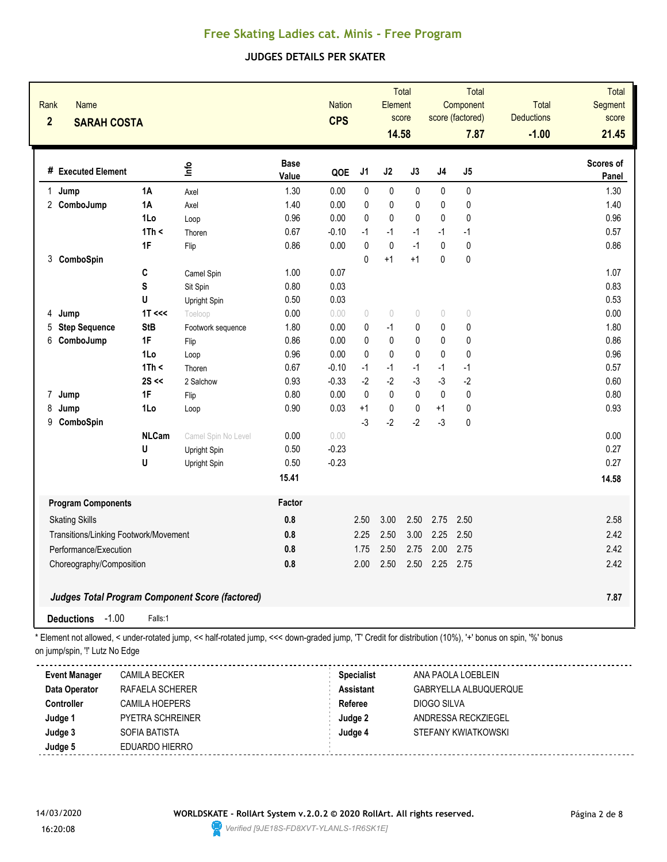#### **JUDGES DETAILS PER SKATER**

| Rank<br><b>Name</b><br>$\overline{2}$<br><b>SARAH COSTA</b> |              |                                                        |                      | <b>Nation</b><br><b>CPS</b> |                | <b>Element</b><br>14.58          | <b>Total</b><br>score |                | <b>Total</b><br>Component<br>score (factored)<br>7.87 | <b>Total</b><br><b>Deductions</b><br>$-1.00$ | <b>Total</b><br>Segment<br>score<br>21.45 |
|-------------------------------------------------------------|--------------|--------------------------------------------------------|----------------------|-----------------------------|----------------|----------------------------------|-----------------------|----------------|-------------------------------------------------------|----------------------------------------------|-------------------------------------------|
| # Executed Element                                          |              | lnfo                                                   | <b>Base</b><br>Value | QOE                         | J <sub>1</sub> | J2                               | J3                    | J <sub>4</sub> | J5                                                    |                                              | <b>Scores of</b><br>Panel                 |
| $\mathbf{1}$<br>Jump                                        | <b>1A</b>    | Axel                                                   | 1.30                 | 0.00                        | 0              | $\pmb{0}$                        | 0                     | 0              | 0                                                     |                                              | 1.30                                      |
| 2 ComboJump                                                 | <b>1A</b>    | Axel                                                   | 1.40                 | 0.00                        | 0              | $\mathbf{0}$                     | 0                     | 0              | 0                                                     |                                              | 1.40                                      |
|                                                             | 1Lo          | Loop                                                   | 0.96                 | 0.00                        | $\mathbf 0$    | 0                                | 0                     | $\mathbf{0}$   | 0                                                     |                                              | 0.96                                      |
|                                                             | 1Th <        | Thoren                                                 | 0.67                 | $-0.10$                     | $-1$           | $-1$                             | $-1$                  | $-1$           | $-1$                                                  |                                              | 0.57                                      |
|                                                             | 1F           | Flip                                                   | 0.86                 | 0.00                        | $\pmb{0}$      | $\pmb{0}$                        | $-1$                  | 0              | 0                                                     |                                              | 0.86                                      |
| 3 ComboSpin                                                 |              |                                                        |                      |                             | $\mathbf{0}$   | $+1$                             | $+1$                  | $\mathbf{0}$   | $\pmb{0}$                                             |                                              |                                           |
|                                                             | C            | Camel Spin                                             | 1.00                 | 0.07                        |                |                                  |                       |                |                                                       |                                              | 1.07                                      |
|                                                             | S            | Sit Spin                                               | 0.80                 | 0.03                        |                |                                  |                       |                |                                                       |                                              | 0.83                                      |
|                                                             | U            | Upright Spin                                           | 0.50                 | 0.03                        |                |                                  |                       |                |                                                       |                                              | 0.53                                      |
| Jump<br>4                                                   | $1T \ll $    | Toeloop                                                | 0.00                 | 0.00                        | $\circ$        | $\begin{array}{c} \n\end{array}$ | 0                     | 0              | $\bigcirc$                                            |                                              | 0.00                                      |
| 5<br><b>Step Sequence</b>                                   | <b>StB</b>   | Footwork sequence                                      | 1.80                 | 0.00                        | 0              | $-1$                             | 0                     | 0              | $\pmb{0}$                                             |                                              | 1.80                                      |
| ComboJump<br>6                                              | 1F           | Flip                                                   | 0.86                 | 0.00                        | 0              | 0                                | 0                     | 0              | 0                                                     |                                              | 0.86                                      |
|                                                             | 1Lo          | Loop                                                   | 0.96                 | 0.00                        | $\mathbf 0$    | $\mathbf 0$                      | 0                     | $\mathbf{0}$   | 0                                                     |                                              | 0.96                                      |
|                                                             | 1Th <        | Thoren                                                 | 0.67                 | $-0.10$                     | $-1$           | $-1$                             | $-1$                  | $-1$           | $-1$                                                  |                                              | 0.57                                      |
|                                                             | $2S \ll$     | 2 Salchow                                              | 0.93                 | $-0.33$                     | $-2$           | $-2$                             | $-3$                  | $-3$           | $-2$                                                  |                                              | 0.60                                      |
| 7<br>Jump                                                   | 1F           | Flip                                                   | 0.80                 | 0.00                        | $\mathbf 0$    | $\pmb{0}$                        | 0                     | $\mathbf{0}$   | 0                                                     |                                              | 0.80                                      |
| 8<br>Jump                                                   | 1Lo          | Loop                                                   | 0.90                 | 0.03                        | $+1$           | 0                                | 0                     | $+1$           | 0                                                     |                                              | 0.93                                      |
| 9<br>ComboSpin                                              |              |                                                        |                      |                             | $-3$           | $-2$                             | $-2$                  | -3             | $\pmb{0}$                                             |                                              |                                           |
|                                                             | <b>NLCam</b> | Camel Spin No Level                                    | 0.00                 | 0.00                        |                |                                  |                       |                |                                                       |                                              | 0.00                                      |
|                                                             | U            | Upright Spin                                           | 0.50                 | $-0.23$                     |                |                                  |                       |                |                                                       |                                              | 0.27                                      |
|                                                             | U            | Upright Spin                                           | 0.50                 | $-0.23$                     |                |                                  |                       |                |                                                       |                                              | 0.27                                      |
|                                                             |              |                                                        | 15.41                |                             |                |                                  |                       |                |                                                       |                                              | 14.58                                     |
| <b>Program Components</b>                                   |              |                                                        | Factor               |                             |                |                                  |                       |                |                                                       |                                              |                                           |
| <b>Skating Skills</b>                                       |              |                                                        | 0.8                  |                             | 2.50           | 3.00                             | 2.50                  | 2.75           | 2.50                                                  |                                              | 2.58                                      |
| Transitions/Linking Footwork/Movement                       |              |                                                        | 0.8                  |                             | 2.25           | 2.50                             | 3.00                  | 2.25           | 2.50                                                  |                                              | 2.42                                      |
| Performance/Execution                                       |              |                                                        | 0.8                  |                             | 1.75           | 2.50                             | 2.75                  | 2.00           | 2.75                                                  |                                              | 2.42                                      |
| Choreography/Composition                                    |              |                                                        | 0.8                  |                             | 2.00           | 2.50                             | 2.50                  | 2.25           | 2.75                                                  |                                              | 2.42                                      |
| Deductions -1.00                                            | Falls:1      | <b>Judges Total Program Component Score (factored)</b> |                      |                             |                |                                  |                       |                |                                                       |                                              | 7.87                                      |

| <b>Event Manager</b> | CAMILA BECKER           | <b>Specialist</b> | ANA PAOLA LOEBLEIN    |
|----------------------|-------------------------|-------------------|-----------------------|
| Data Operator        | RAFAELA SCHERER         | <b>Assistant</b>  | GABRYELLA ALBUQUERQUE |
| <b>Controller</b>    | CAMILA HOEPERS          | Referee           | DIOGO SILVA           |
| Judge 1              | <b>PYETRA SCHREINER</b> | Judge 2           | ANDRESSA RECKZIEGEL   |
| Judge 3              | SOFIA BATISTA           | Judge 4           | STEFANY KWIATKOWSKI   |

**Judge 5** EDUARDO HIERRO

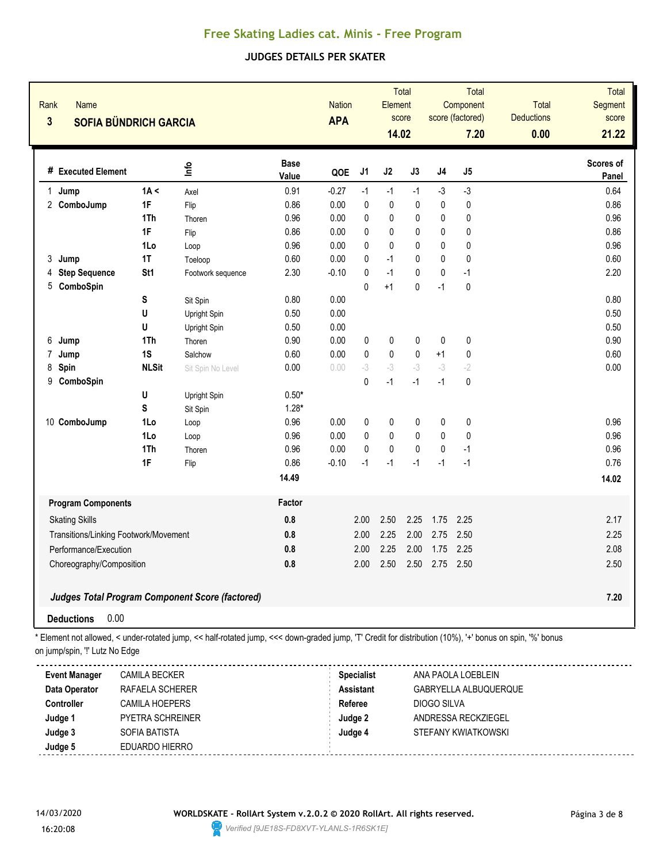### **JUDGES DETAILS PER SKATER**

| Rank<br><b>Name</b><br>$\overline{\mathbf{3}}$<br><b>SOFIA BÜNDRICH GARCIA</b> |              |                                                        | <b>Nation</b><br><b>APA</b> |         | Element<br>14.02 | Total<br>score | Total<br>Component<br>score (factored)<br>7.20 |              | Total<br><b>Deductions</b><br>0.00 | Total<br>Segment<br>score<br>21.22 |                    |
|--------------------------------------------------------------------------------|--------------|--------------------------------------------------------|-----------------------------|---------|------------------|----------------|------------------------------------------------|--------------|------------------------------------|------------------------------------|--------------------|
| # Executed Element                                                             |              | Info                                                   | <b>Base</b><br>Value        | QOE     | J1               | J2             | J3                                             | J4           | J <sub>5</sub>                     |                                    | Scores of<br>Panel |
| 1 Jump                                                                         | 1A <         | Axel                                                   | 0.91                        | $-0.27$ | $-1$             | $-1$           | $-1$                                           | $-3$         | $-3$                               |                                    | 0.64               |
| 2 ComboJump                                                                    | 1F           | Flip                                                   | 0.86                        | 0.00    | 0                | 0              | 0                                              | 0            | 0                                  |                                    | 0.86               |
|                                                                                | 1Th          | Thoren                                                 | 0.96                        | 0.00    | 0                | 0              | 0                                              | 0            | 0                                  |                                    | 0.96               |
|                                                                                | 1F           | Flip                                                   | 0.86                        | 0.00    | $\mathbf{0}$     | $\mathbf{0}$   | 0                                              | 0            | 0                                  |                                    | 0.86               |
|                                                                                | 1Lo          | Loop                                                   | 0.96                        | 0.00    | 0                | $\pmb{0}$      | $\mathbf{0}$                                   | 0            | 0                                  |                                    | 0.96               |
| 3<br>Jump                                                                      | 1T           | Toeloop                                                | 0.60                        | 0.00    | $\pmb{0}$        | $-1$           | 0                                              | $\mathbf{0}$ | 0                                  |                                    | 0.60               |
| <b>Step Sequence</b><br>4                                                      | St1          | Footwork sequence                                      | 2.30                        | $-0.10$ | $\mathbf{0}$     | $-1$           | 0                                              | $\mathbf{0}$ | $-1$                               |                                    | 2.20               |
| ComboSpin<br>5                                                                 |              |                                                        |                             |         | $\mathbf{0}$     | $+1$           | $\pmb{0}$                                      | $-1$         | $\pmb{0}$                          |                                    |                    |
|                                                                                | S            | Sit Spin                                               | 0.80                        | 0.00    |                  |                |                                                |              |                                    |                                    | 0.80               |
|                                                                                | U            | Upright Spin                                           | 0.50                        | 0.00    |                  |                |                                                |              |                                    |                                    | 0.50               |
|                                                                                | U            | <b>Upright Spin</b>                                    | 0.50                        | 0.00    |                  |                |                                                |              |                                    |                                    | 0.50               |
| 6<br>Jump                                                                      | 1Th          | Thoren                                                 | 0.90                        | 0.00    | 0                | $\mathbf 0$    | 0                                              | $\mathbf{0}$ | 0                                  |                                    | 0.90               |
| 7<br>Jump                                                                      | 1S           | Salchow                                                | 0.60                        | 0.00    | 0                | $\pmb{0}$      | $\mathbf 0$                                    | $+1$         | $\mathbf 0$                        |                                    | 0.60               |
| 8<br>Spin                                                                      | <b>NLSit</b> | Sit Spin No Level                                      | 0.00                        | 0.00    | -3               | $-3$           | $-3$                                           | $-3$         | $-2$                               |                                    | 0.00               |
| 9<br>ComboSpin                                                                 |              |                                                        |                             |         | $\mathbf{0}$     | $-1$           | $-1$                                           | $-1$         | $\pmb{0}$                          |                                    |                    |
|                                                                                | U            | Upright Spin                                           | $0.50*$                     |         |                  |                |                                                |              |                                    |                                    |                    |
|                                                                                | S            | Sit Spin                                               | $1.28*$                     |         |                  |                |                                                |              |                                    |                                    |                    |
| 10 ComboJump                                                                   | 1Lo          | Loop                                                   | 0.96                        | 0.00    | 0                | $\pmb{0}$      | 0                                              | 0            | 0                                  |                                    | 0.96               |
|                                                                                | 1Lo          | Loop                                                   | 0.96                        | 0.00    | $\pmb{0}$        | $\pmb{0}$      | $\mathbf{0}$                                   | $\mathbf{0}$ | $\mathbf 0$                        |                                    | 0.96               |
|                                                                                | 1Th          | Thoren                                                 | 0.96                        | 0.00    | $\mathbf{0}$     | $\mathbf{0}$   | $\mathbf{0}$                                   | $\mathbf{0}$ | $-1$                               |                                    | 0.96               |
|                                                                                | 1F           | Flip                                                   | 0.86                        | $-0.10$ | $-1$             | $-1$           | $-1$                                           | $-1$         | $-1$                               |                                    | 0.76               |
|                                                                                |              |                                                        | 14.49                       |         |                  |                |                                                |              |                                    |                                    | 14.02              |
| <b>Program Components</b>                                                      |              |                                                        | Factor                      |         |                  |                |                                                |              |                                    |                                    |                    |
| <b>Skating Skills</b>                                                          |              |                                                        | 0.8                         |         | 2.00             | 2.50           | 2.25                                           | 1.75         | 2.25                               |                                    | 2.17               |
| Transitions/Linking Footwork/Movement                                          |              |                                                        | 0.8                         |         | 2.00             | 2.25           | 2.00                                           | 2.75         | 2.50                               |                                    | 2.25               |
| Performance/Execution                                                          |              |                                                        | 0.8                         |         | 2.00             | 2.25           | 2.00                                           | 1.75         | 2.25                               |                                    | 2.08               |
| Choreography/Composition                                                       |              |                                                        | 0.8                         |         | 2.00             | 2.50           | 2.50                                           | 2.75         | 2.50                               |                                    | 2.50               |
|                                                                                |              |                                                        |                             |         |                  |                |                                                |              |                                    |                                    |                    |
|                                                                                |              | <b>Judges Total Program Component Score (factored)</b> |                             |         |                  |                |                                                |              |                                    |                                    | 7.20               |
| <b>Deductions</b><br>0.00                                                      |              |                                                        |                             |         |                  |                |                                                |              |                                    |                                    |                    |

\* Element not allowed, < under-rotated jump, << half-rotated jump, <<< down-graded jump, 'T' Credit for distribution (10%), '+' bonus on spin, '%' bonus on jump/spin, "!' Lutz No Edge

| <b>Event Manager</b> | <b>CAMILA BECKER</b>    | <b>Specialist</b> | ANA PAOLA LOEBLEIN    |
|----------------------|-------------------------|-------------------|-----------------------|
| Data Operator        | RAFAELA SCHERER         | <b>Assistant</b>  | GABRYELLA ALBUQUERQUE |
| <b>Controller</b>    | CAMILA HOEPERS          | Referee           | DIOGO SILVA           |
| Judge 1              | <b>PYETRA SCHREINER</b> | Judge 2           | ANDRESSA RECKZIEGEL   |
| Judge 3              | SOFIA BATISTA           | Judge 4           | STEFANY KWIATKOWSKI   |
| Judge 5              | EDUARDO HIERRO          |                   |                       |
|                      |                         |                   |                       |

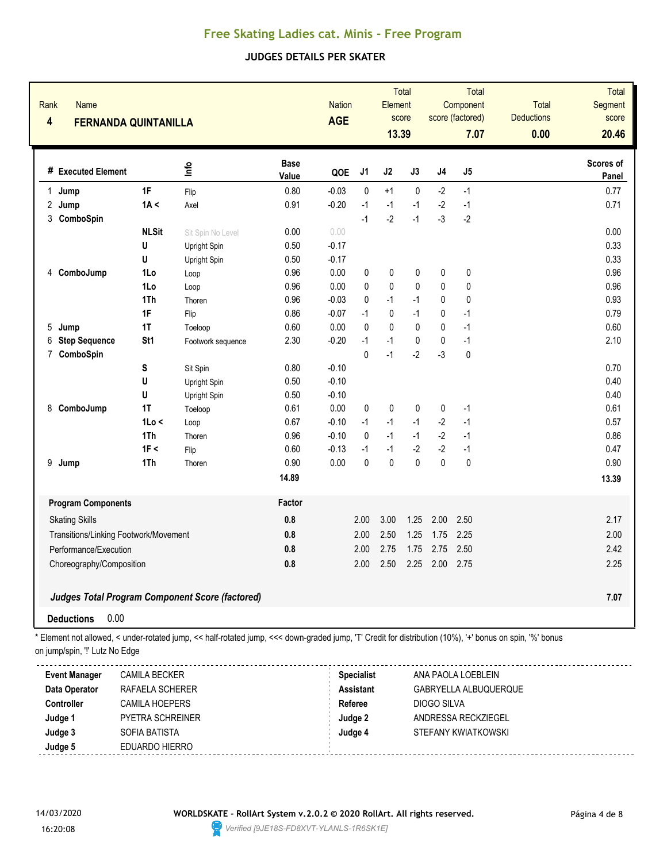### **JUDGES DETAILS PER SKATER**

| Rank<br><b>Name</b><br><b>FERNANDA QUINTANILLA</b> |                  |                                                        | <b>Nation</b><br><b>AGE</b> |         | Total<br>Element<br>score<br>13.39 |              | Total<br>Component<br>score (factored)<br>7.07 |              | <b>Total</b><br><b>Deductions</b><br>0.00 | Total<br>Segment<br>score<br>20.46 |                    |
|----------------------------------------------------|------------------|--------------------------------------------------------|-----------------------------|---------|------------------------------------|--------------|------------------------------------------------|--------------|-------------------------------------------|------------------------------------|--------------------|
| # Executed Element                                 |                  | ١nf٥                                                   | <b>Base</b><br>Value        | QOE     | J <sub>1</sub>                     | J2           | J3                                             | $\sf J4$     | J5                                        |                                    | Scores of<br>Panel |
| 1 Jump                                             | 1F               | Flip                                                   | 0.80                        | $-0.03$ | $\mathbf{0}$                       | $+1$         | $\mathbf{0}$                                   | $-2$         | $-1$                                      |                                    | 0.77               |
| 2<br>Jump                                          | 1A <             | Axel                                                   | 0.91                        | $-0.20$ | $-1$                               | $-1$         | $-1$                                           | $-2$         | $-1$                                      |                                    | 0.71               |
| 3 ComboSpin                                        |                  |                                                        |                             |         | $-1$                               | $-2$         | $-1$                                           | $-3$         | $-2$                                      |                                    |                    |
|                                                    | <b>NLSit</b>     | Sit Spin No Level                                      | 0.00                        | 0.00    |                                    |              |                                                |              |                                           |                                    | 0.00               |
|                                                    | U                | Upright Spin                                           | 0.50                        | $-0.17$ |                                    |              |                                                |              |                                           |                                    | 0.33               |
|                                                    | U                | Upright Spin                                           | 0.50                        | $-0.17$ |                                    |              |                                                |              |                                           |                                    | 0.33               |
| ComboJump<br>4                                     | 1Lo              | Loop                                                   | 0.96                        | 0.00    | $\mathbf 0$                        | 0            | 0                                              | 0            | 0                                         |                                    | 0.96               |
|                                                    | 1Lo              | Loop                                                   | 0.96                        | 0.00    | $\mathbf{0}$                       | $\pmb{0}$    | $\pmb{0}$                                      | 0            | $\mathbf 0$                               |                                    | 0.96               |
|                                                    | 1Th              | Thoren                                                 | 0.96                        | $-0.03$ | $\mathbf{0}$                       | $-1$         | $-1$                                           | 0            | $\pmb{0}$                                 |                                    | 0.93               |
|                                                    | 1F               | Flip                                                   | 0.86                        | $-0.07$ | $-1$                               | $\pmb{0}$    | $-1$                                           | 0            | $-1$                                      |                                    | 0.79               |
| 5<br>Jump                                          | 1T               | Toeloop                                                | 0.60                        | 0.00    | $\mathbf{0}$                       | $\mathbf{0}$ | $\mathbf{0}$                                   | 0            | $-1$                                      |                                    | 0.60               |
| <b>Step Sequence</b><br>6                          | St1              | Footwork sequence                                      | 2.30                        | $-0.20$ | $-1$                               | $-1$         | $\pmb{0}$                                      | $\mathbf{0}$ | $-1$                                      |                                    | 2.10               |
| 7<br>ComboSpin                                     |                  |                                                        |                             |         | $\Omega$                           | $-1$         | $-2$                                           | $-3$         | $\pmb{0}$                                 |                                    |                    |
|                                                    | S                | Sit Spin                                               | 0.80                        | $-0.10$ |                                    |              |                                                |              |                                           |                                    | 0.70               |
|                                                    | U                | Upright Spin                                           | 0.50                        | $-0.10$ |                                    |              |                                                |              |                                           |                                    | 0.40               |
|                                                    | U                | Upright Spin                                           | 0.50                        | $-0.10$ |                                    |              |                                                |              |                                           |                                    | 0.40               |
| ComboJump<br>8                                     | 1T               | Toeloop                                                | 0.61                        | 0.00    | $\mathbf 0$                        | 0            | 0                                              | 0            | $-1$                                      |                                    | 0.61               |
|                                                    | 1 <sub>0</sub> < | Loop                                                   | 0.67                        | $-0.10$ | $-1$                               | $-1$         | $-1$                                           | $-2$         | $-1$                                      |                                    | 0.57               |
|                                                    | 1Th              | Thoren                                                 | 0.96                        | $-0.10$ | $\mathbf{0}$                       | $-1$         | $-1$                                           | $-2$         | $-1$                                      |                                    | 0.86               |
|                                                    | 1F <             | Flip                                                   | 0.60                        | $-0.13$ | $-1$                               | $-1$         | $-2$                                           | $-2$         | $-1$                                      |                                    | 0.47               |
| 9 Jump                                             | 1Th              | Thoren                                                 | 0.90                        | 0.00    | $\Omega$                           | $\mathbf{0}$ | $\Omega$                                       | $\Omega$     | $\pmb{0}$                                 |                                    | 0.90               |
|                                                    |                  |                                                        | 14.89                       |         |                                    |              |                                                |              |                                           |                                    | 13.39              |
| <b>Program Components</b>                          |                  |                                                        | Factor                      |         |                                    |              |                                                |              |                                           |                                    |                    |
| <b>Skating Skills</b>                              |                  |                                                        | 0.8                         |         | 2.00                               | 3.00         | 1.25                                           | 2.00         | 2.50                                      |                                    | 2.17               |
| Transitions/Linking Footwork/Movement              |                  |                                                        | 0.8                         |         | 2.00                               | 2.50         | 1.25                                           | 1.75         | 2.25                                      |                                    | 2.00               |
| Performance/Execution                              |                  |                                                        | 0.8                         |         | 2.00                               | 2.75         | 1.75                                           | 2.75         | 2.50                                      |                                    | 2.42               |
| Choreography/Composition                           |                  |                                                        | 0.8                         |         | 2.00                               | 2.50         | 2.25                                           | 2.00         | 2.75                                      |                                    | 2.25               |
|                                                    |                  | <b>Judges Total Program Component Score (factored)</b> |                             |         |                                    |              |                                                |              |                                           |                                    | 7.07               |
| <b>Deductions</b><br>0.00                          |                  |                                                        |                             |         |                                    |              |                                                |              |                                           |                                    |                    |

Element not allowed, < under-rotated jump, << half-rotated jump, <<< down-graded jump, 'T' Credit for distribution (10%), '+' bonus on spin, '%' bonus on jump/spin, '!' Lutz No Edge

| <b>Event Manager</b> | <b>CAMILA BECKER</b>    | <b>Specialist</b> | ANA PAOLA LOEBLEIN    |
|----------------------|-------------------------|-------------------|-----------------------|
| Data Operator        | RAFAELA SCHERER         | <b>Assistant</b>  | GABRYELLA ALBUQUERQUE |
| <b>Controller</b>    | CAMILA HOEPERS          | Referee           | DIOGO SILVA           |
| Judge 1              | <b>PYETRA SCHREINER</b> | Judge 2           | ANDRESSA RECKZIEGEL   |
| Judge 3              | SOFIA BATISTA           | Judge 4           | STEFANY KWIATKOWSKI   |
| Judge 5              | EDUARDO HIERRO          |                   |                       |
|                      |                         |                   |                       |

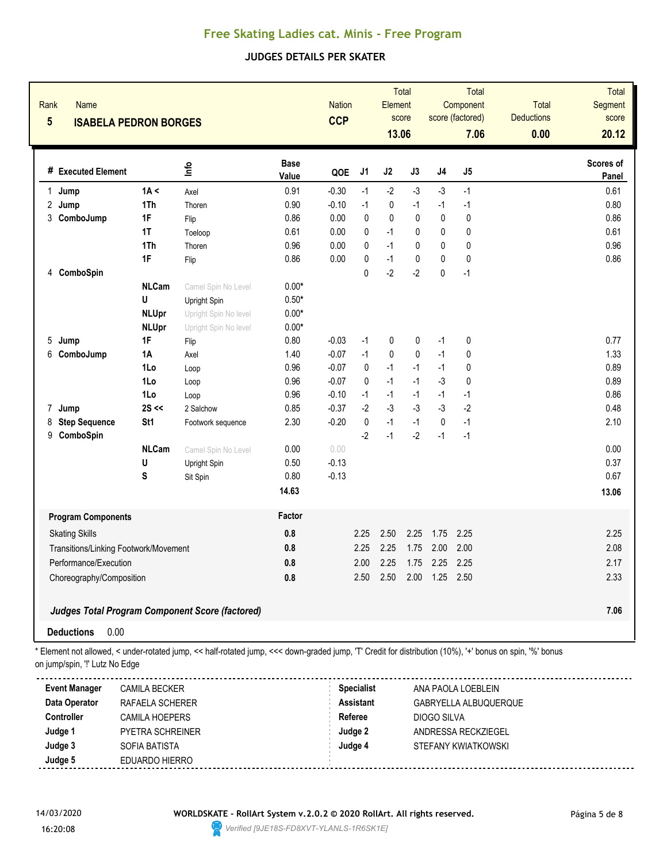#### **JUDGES DETAILS PER SKATER**

| Rank<br><b>Name</b><br>$5\phantom{.0}$ | <b>ISABELA PEDRON BORGES</b> |                                                        |                      | <b>Nation</b><br><b>CCP</b> |                | Element<br>13.06 | Total<br>score | Total<br>Component<br>score (factored)<br>7.06 |           | <b>Total</b><br><b>Deductions</b><br>0.00 | <b>Total</b><br>Segment<br>score<br>20.12 |
|----------------------------------------|------------------------------|--------------------------------------------------------|----------------------|-----------------------------|----------------|------------------|----------------|------------------------------------------------|-----------|-------------------------------------------|-------------------------------------------|
| # Executed Element                     |                              | lnfo                                                   | <b>Base</b><br>Value | QOE                         | J <sub>1</sub> | J2               | J3             | J4                                             | J5        |                                           | Scores of<br>Panel                        |
| $\mathbf{1}$<br>Jump                   | 1A <                         | Axel                                                   | 0.91                 | $-0.30$                     | $-1$           | $-2$             | $-3$           | $-3$                                           | $-1$      |                                           | 0.61                                      |
| 2 Jump                                 | 1Th                          | Thoren                                                 | 0.90                 | $-0.10$                     | $-1$           | $\pmb{0}$        | $-1$           | $-1$                                           | $-1$      |                                           | 0.80                                      |
| 3 ComboJump                            | 1F                           | Flip                                                   | 0.86                 | 0.00                        | $\mathbf 0$    | $\mathbf{0}$     | $\mathbf{0}$   | $\pmb{0}$                                      | 0         |                                           | 0.86                                      |
|                                        | 1T                           | Toeloop                                                | 0.61                 | 0.00                        | $\mathbf{0}$   | $-1$             | 0              | 0                                              | 0         |                                           | 0.61                                      |
|                                        | 1Th                          | Thoren                                                 | 0.96                 | 0.00                        | 0              | $-1$             | $\mathbf{0}$   | $\mathbf{0}$                                   | 0         |                                           | 0.96                                      |
|                                        | 1F                           | Flip                                                   | 0.86                 | 0.00                        | $\pmb{0}$      | $-1$             | $\mathbf{0}$   | $\mathbf{0}$                                   | 0         |                                           | 0.86                                      |
| ComboSpin<br>4                         |                              |                                                        |                      |                             | 0              | $-2$             | $-2$           | 0                                              | $-1$      |                                           |                                           |
|                                        | <b>NLCam</b>                 | Camel Spin No Level                                    | $0.00*$              |                             |                |                  |                |                                                |           |                                           |                                           |
|                                        | U                            | Upright Spin                                           | $0.50*$              |                             |                |                  |                |                                                |           |                                           |                                           |
|                                        | <b>NLUpr</b>                 | Upright Spin No level                                  | $0.00*$              |                             |                |                  |                |                                                |           |                                           |                                           |
|                                        | <b>NLUpr</b>                 | Upright Spin No level                                  | $0.00*$              |                             |                |                  |                |                                                |           |                                           |                                           |
| 5<br>Jump                              | 1F                           | Flip                                                   | 0.80                 | $-0.03$                     | $-1$           | $\pmb{0}$        | $\pmb{0}$      | $-1$                                           | $\pmb{0}$ |                                           | 0.77                                      |
| 6<br>ComboJump                         | 1A                           | Axel                                                   | 1.40                 | $-0.07$                     | $-1$           | $\mathbf{0}$     | $\mathbf{0}$   | $-1$                                           | 0         |                                           | 1.33                                      |
|                                        | 1Lo                          | Loop                                                   | 0.96                 | $-0.07$                     | 0              | $-1$             | $-1$           | $-1$                                           | 0         |                                           | 0.89                                      |
|                                        | 1Lo                          | Loop                                                   | 0.96                 | $-0.07$                     | $\mathbf{0}$   | $-1$             | $-1$           | $-3$                                           | 0         |                                           | 0.89                                      |
|                                        | 1Lo                          | Loop                                                   | 0.96                 | $-0.10$                     | $-1$           | $-1$             | $-1$           | $-1$                                           | $-1$      |                                           | 0.86                                      |
| 7<br>Jump                              | $2S \ll$                     | 2 Salchow                                              | 0.85                 | $-0.37$                     | $-2$           | $-3$             | $-3$           | $-3$                                           | $-2$      |                                           | 0.48                                      |
| 8<br><b>Step Sequence</b>              | St <sub>1</sub>              | Footwork sequence                                      | 2.30                 | $-0.20$                     | $\pmb{0}$      | $-1$             | $-1$           | $\pmb{0}$                                      | $-1$      |                                           | 2.10                                      |
| 9<br>ComboSpin                         |                              |                                                        |                      |                             | $-2$           | $-1$             | $-2$           | $-1$                                           | $-1$      |                                           |                                           |
|                                        | <b>NLCam</b>                 | Camel Spin No Level                                    | 0.00                 | 0.00                        |                |                  |                |                                                |           |                                           | 0.00                                      |
|                                        | U                            | Upright Spin                                           | 0.50                 | $-0.13$                     |                |                  |                |                                                |           |                                           | 0.37                                      |
|                                        | S                            | Sit Spin                                               | 0.80                 | $-0.13$                     |                |                  |                |                                                |           |                                           | 0.67                                      |
|                                        |                              |                                                        | 14.63                |                             |                |                  |                |                                                |           |                                           | 13.06                                     |
| <b>Program Components</b>              |                              |                                                        | Factor               |                             |                |                  |                |                                                |           |                                           |                                           |
| <b>Skating Skills</b>                  |                              |                                                        | 0.8                  |                             | 2.25           | 2.50             | 2.25           | 1.75                                           | 2.25      |                                           | 2.25                                      |
| Transitions/Linking Footwork/Movement  |                              |                                                        | 0.8                  |                             | 2.25           | 2.25             | 1.75           | 2.00                                           | 2.00      |                                           | 2.08                                      |
| Performance/Execution                  |                              |                                                        | 0.8                  |                             | 2.00           | 2.25             | 1.75           | 2.25                                           | 2.25      |                                           | 2.17                                      |
| Choreography/Composition               |                              |                                                        | 0.8                  |                             | 2.50           | 2.50             | 2.00           | 1.25                                           | 2.50      |                                           | 2.33                                      |
|                                        |                              |                                                        |                      |                             |                |                  |                |                                                |           |                                           |                                           |
|                                        |                              | <b>Judges Total Program Component Score (factored)</b> |                      |                             |                |                  |                |                                                |           |                                           | 7.06                                      |
| 0.00<br><b>Deductions</b>              |                              |                                                        |                      |                             |                |                  |                |                                                |           |                                           |                                           |

\* Element not allowed, < under-rotated jump, << half-rotated jump, <<< down-graded jump, 'T' Credit for distribution (10%), '+' bonus on spin, '%' bonus on jump/spin, '!' Lutz No Edge

| <b>Event Manager</b> | <b>CAMILA BECKER</b>    | <b>Specialist</b> | ANA PAOLA LOEBLEIN    |  |
|----------------------|-------------------------|-------------------|-----------------------|--|
| Data Operator        | RAFAELA SCHERER         | <b>Assistant</b>  | GABRYELLA ALBUQUERQUE |  |
| <b>Controller</b>    | CAMILA HOEPERS          | Referee           | DIOGO SILVA           |  |
| Judge 1              | <b>PYETRA SCHREINER</b> | Judge 2           | ANDRESSA RECKZIEGEL   |  |
| Judge 3              | SOFIA BATISTA           | Judge 4           | STEFANY KWIATKOWSKI   |  |
| Judge 5              | EDUARDO HIERRO          |                   |                       |  |

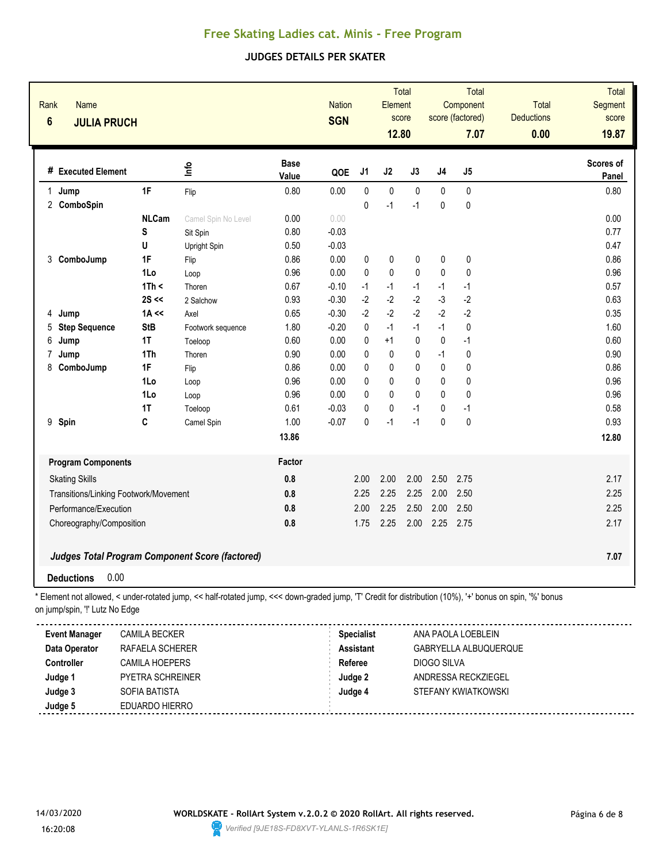### **JUDGES DETAILS PER SKATER**

| Rank<br>$6\phantom{1}6$ | <b>Name</b><br><b>JULIA PRUCH</b> |                                       |                                                                                                                                                          |                      | <b>Nation</b><br><b>SGN</b> |                   | <b>Element</b><br>12.80 | <b>Total</b><br>score |                    | <b>Total</b><br>Component<br>score (factored)<br>7.07 | Total<br><b>Deductions</b><br>0.00 | <b>Total</b><br>Segment<br>score<br>19.87 |
|-------------------------|-----------------------------------|---------------------------------------|----------------------------------------------------------------------------------------------------------------------------------------------------------|----------------------|-----------------------------|-------------------|-------------------------|-----------------------|--------------------|-------------------------------------------------------|------------------------------------|-------------------------------------------|
|                         | # Executed Element                |                                       | ٩ų                                                                                                                                                       | <b>Base</b><br>Value | QOE                         | J <sub>1</sub>    | J2                      | J3                    | J <sub>4</sub>     | J5                                                    |                                    | Scores of<br>Panel                        |
| 1                       | Jump<br>2 ComboSpin               | 1F                                    | Flip                                                                                                                                                     | 0.80                 | 0.00                        | 0<br>0            | $\pmb{0}$<br>$-1$       | 0<br>$-1$             | $\mathbf{0}$<br>0  | 0<br>0                                                |                                    | 0.80                                      |
|                         |                                   | <b>NLCam</b>                          | Camel Spin No Level                                                                                                                                      | 0.00                 | 0.00                        |                   |                         |                       |                    |                                                       |                                    | 0.00                                      |
|                         |                                   | S                                     | Sit Spin                                                                                                                                                 | 0.80                 | $-0.03$                     |                   |                         |                       |                    |                                                       |                                    | 0.77                                      |
|                         |                                   | U                                     | Upright Spin                                                                                                                                             | 0.50                 | $-0.03$                     |                   |                         |                       |                    |                                                       |                                    | 0.47                                      |
|                         | 3 ComboJump                       | 1F                                    | Flip                                                                                                                                                     | 0.86                 | 0.00                        | 0                 | 0                       | 0                     | 0                  | $\pmb{0}$                                             |                                    | 0.86                                      |
|                         |                                   | 1Lo                                   | Loop                                                                                                                                                     | 0.96                 | 0.00                        | $\mathbf 0$       | $\pmb{0}$               | 0                     | $\mathbf{0}$       | 0                                                     |                                    | 0.96                                      |
|                         |                                   | 1Th <                                 | Thoren                                                                                                                                                   | 0.67                 | $-0.10$                     | $-1$              | $-1$                    | $-1$                  | $-1$               | $-1$                                                  |                                    | 0.57                                      |
|                         |                                   | $2S \ll$                              | 2 Salchow                                                                                                                                                | 0.93                 | $-0.30$                     | $-2$              | $-2$                    | $-2$                  | $-3$               | $-2$                                                  |                                    | 0.63                                      |
| 4                       | Jump                              | $1A \ll$                              | Axel                                                                                                                                                     | 0.65                 | $-0.30$                     | $-2$              | $-2$                    | $-2$                  | $-2$               | $-2$                                                  |                                    | 0.35                                      |
| 5                       | <b>Step Sequence</b>              | <b>StB</b>                            | Footwork sequence                                                                                                                                        | 1.80                 | $-0.20$                     | $\mathbf 0$       | $-1$                    | $-1$                  | $-1$               | $\pmb{0}$                                             |                                    | 1.60                                      |
| 6                       | Jump                              | 1T                                    | Toeloop                                                                                                                                                  | 0.60                 | 0.00                        | $\mathbf 0$       | $+1$                    | 0                     | 0                  | -1                                                    |                                    | 0.60                                      |
| 7                       | Jump                              | 1Th                                   | Thoren                                                                                                                                                   | 0.90                 | 0.00                        | 0                 | 0                       | 0                     | $-1$               | 0                                                     |                                    | 0.90                                      |
| 8                       | ComboJump                         | 1F                                    | Flip                                                                                                                                                     | 0.86                 | 0.00                        | $\mathbf 0$       | 0                       | 0                     | 0                  | 0                                                     |                                    | 0.86                                      |
|                         |                                   | 1Lo                                   | Loop                                                                                                                                                     | 0.96                 | 0.00                        | $\mathbf 0$       | 0                       | 0                     | 0                  | 0                                                     |                                    | 0.96                                      |
|                         |                                   | 1Lo                                   | Loop                                                                                                                                                     | 0.96                 | 0.00                        | 0                 | 0                       | 0                     | 0                  | 0                                                     |                                    | 0.96                                      |
|                         |                                   | <b>1T</b>                             | Toeloop                                                                                                                                                  | 0.61                 | $-0.03$                     | $\mathbf{0}$      | 0                       | $-1$                  | 0                  | $-1$                                                  |                                    | 0.58                                      |
|                         | 9 Spin                            | C                                     | Camel Spin                                                                                                                                               | 1.00                 | $-0.07$                     | $\mathbf{0}$      | $-1$                    | $-1$                  | $\mathbf{0}$       | $\pmb{0}$                                             |                                    | 0.93                                      |
|                         |                                   |                                       |                                                                                                                                                          | 13.86                |                             |                   |                         |                       |                    |                                                       |                                    | 12.80                                     |
|                         | <b>Program Components</b>         |                                       |                                                                                                                                                          | Factor               |                             |                   |                         |                       |                    |                                                       |                                    |                                           |
|                         | <b>Skating Skills</b>             |                                       |                                                                                                                                                          | 0.8                  |                             | 2.00              | 2.00                    | 2.00                  | 2.50               | 2.75                                                  |                                    | 2.17                                      |
|                         |                                   | Transitions/Linking Footwork/Movement |                                                                                                                                                          | 0.8                  |                             | 2.25              | 2.25                    | 2.25                  | 2.00               | 2.50                                                  |                                    | 2.25                                      |
|                         | Performance/Execution             |                                       |                                                                                                                                                          | 0.8                  |                             | 2.00              | 2.25                    | 2.50                  | 2.00               | 2.50                                                  |                                    | 2.25                                      |
|                         | Choreography/Composition          |                                       |                                                                                                                                                          | 0.8                  |                             | 1.75              | 2.25                    | 2.00                  | 2.25               | 2.75                                                  |                                    | 2.17                                      |
|                         |                                   |                                       | Judges Total Program Component Score (factored)                                                                                                          |                      |                             |                   |                         |                       |                    |                                                       |                                    | 7.07                                      |
|                         | <b>Deductions</b>                 | 0.00                                  |                                                                                                                                                          |                      |                             |                   |                         |                       |                    |                                                       |                                    |                                           |
|                         | on jump/spin, "!' Lutz No Edge    |                                       | * Element not allowed, < under-rotated jump, << half-rotated jump, <<< down-graded jump, 'T' Credit for distribution (10%), '+' bonus on spin, '%' bonus |                      |                             |                   |                         |                       |                    |                                                       |                                    |                                           |
|                         | <b>Event Manager</b>              | <b>CAMILA BECKER</b>                  |                                                                                                                                                          |                      |                             | <b>Specialist</b> |                         |                       |                    | ANA PAOLA LOEBLEIN                                    |                                    |                                           |
|                         | Data Operator                     | RAFAELA SCHERER                       |                                                                                                                                                          |                      |                             | <b>Assistant</b>  |                         |                       |                    | GABRYELLA ALBUQUERQUE                                 |                                    |                                           |
|                         | Controller                        | <b>CAMILA HOEPERS</b>                 |                                                                                                                                                          |                      |                             | Referee           |                         |                       | <b>DIOGO SILVA</b> |                                                       |                                    |                                           |
|                         | Judge 1                           | PYETRA SCHREINER                      |                                                                                                                                                          |                      |                             | Judge 2           |                         |                       |                    | ANDRESSA RECKZIEGEL                                   |                                    |                                           |
|                         | Judge 3                           | SOFIA BATISTA                         |                                                                                                                                                          |                      |                             | Judge 4           |                         |                       |                    | STEFANY KWIATKOWSKI                                   |                                    |                                           |

**Judge 5** EDUARDO HIERRO

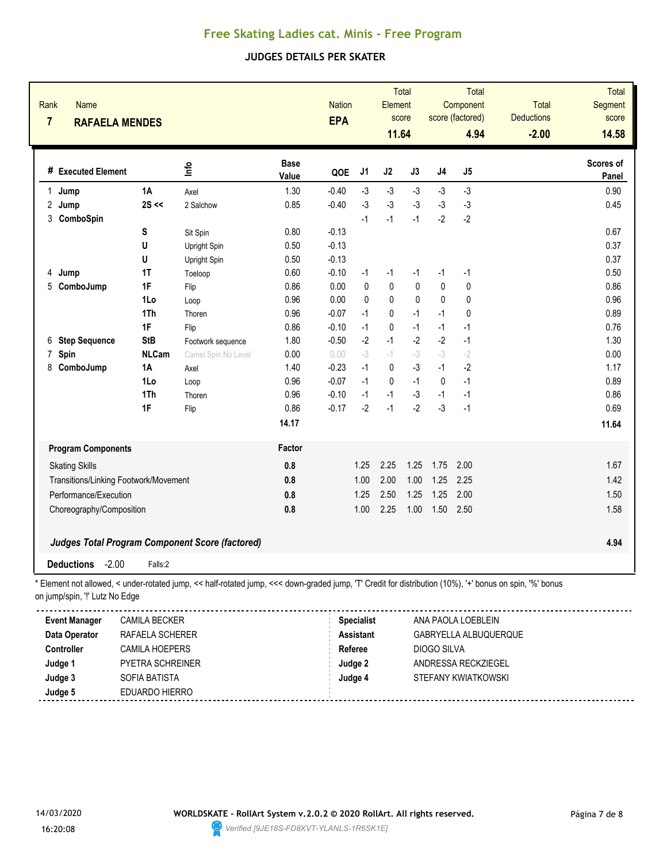### **JUDGES DETAILS PER SKATER**

| Rank<br>$\overline{7}$ | <b>Name</b><br><b>RAFAELA MENDES</b>  |                       |                                                                                                                                                          |                      | <b>Nation</b><br><b>EPA</b> |                   | Element<br>11.64                              | Total<br>score |                | <b>Total</b><br>Component<br>score (factored)<br>4.94 | <b>Total</b><br><b>Deductions</b><br>$-2.00$ | <b>Total</b><br>Segment<br>score<br>14.58 |
|------------------------|---------------------------------------|-----------------------|----------------------------------------------------------------------------------------------------------------------------------------------------------|----------------------|-----------------------------|-------------------|-----------------------------------------------|----------------|----------------|-------------------------------------------------------|----------------------------------------------|-------------------------------------------|
|                        | # Executed Element                    |                       | lnfo                                                                                                                                                     | <b>Base</b><br>Value | QOE                         | J1                | J2                                            | J3             | J <sub>4</sub> | J5                                                    |                                              | Scores of<br>Panel                        |
| 1                      | Jump                                  | 1A                    | Axel                                                                                                                                                     | 1.30                 | $-0.40$                     | $-3$              | $-3$                                          | $-3$           | $-3$           | $-3$                                                  |                                              | 0.90                                      |
| 2                      | Jump                                  | $2S \ll$              | 2 Salchow                                                                                                                                                | 0.85                 | $-0.40$                     | $-3$              | $-3$                                          | $-3$           | $-3$           | $-3$                                                  |                                              | 0.45                                      |
|                        | 3 ComboSpin                           |                       |                                                                                                                                                          |                      |                             | $-1$              | $-1$                                          | $-1$           | $-2$           | $-2$                                                  |                                              |                                           |
|                        |                                       | S                     | Sit Spin                                                                                                                                                 | 0.80                 | $-0.13$                     |                   |                                               |                |                |                                                       |                                              | 0.67                                      |
|                        |                                       | U                     | Upright Spin                                                                                                                                             | 0.50                 | $-0.13$                     |                   |                                               |                |                |                                                       |                                              | 0.37                                      |
|                        |                                       | U                     | Upright Spin                                                                                                                                             | 0.50                 | $-0.13$                     |                   |                                               |                |                |                                                       |                                              | 0.37                                      |
| 4                      | Jump                                  | <b>1T</b>             | Toeloop                                                                                                                                                  | 0.60                 | $-0.10$                     | $-1$              | $-1$                                          | $-1$           | $-1$           | -1                                                    |                                              | 0.50                                      |
| 5                      | ComboJump                             | 1F                    | Flip                                                                                                                                                     | 0.86                 | 0.00                        | $\mathbf{0}$      | $\pmb{0}$                                     | $\pmb{0}$      | $\mathbf 0$    | 0                                                     |                                              | 0.86                                      |
|                        |                                       | 1Lo                   | Loop                                                                                                                                                     | 0.96                 | 0.00                        | 0                 | $\mathbf{0}$                                  | $\mathbf 0$    | 0              | 0                                                     |                                              | 0.96                                      |
|                        |                                       | 1Th                   | Thoren                                                                                                                                                   | 0.96                 | $-0.07$                     | $-1$              | $\pmb{0}$                                     | $-1$           | $-1$           | 0                                                     |                                              | 0.89                                      |
|                        |                                       | 1F                    | Flip                                                                                                                                                     | 0.86                 | $-0.10$                     | $-1$              | 0                                             | $-1$           | $-1$           | $-1$                                                  |                                              | 0.76                                      |
| 6                      | <b>Step Sequence</b>                  | <b>StB</b>            | Footwork sequence                                                                                                                                        | 1.80                 | $-0.50$                     | $-2$              | $-1$                                          | $-2$           | $-2$           | $-1$                                                  |                                              | 1.30                                      |
| 7                      | Spin                                  | <b>NLCam</b>          | Camel Spin No Level                                                                                                                                      | 0.00                 | 0.00                        | $-3$              | $\mathord{\text{--}}^{\mathord{\text{--}}}_1$ | $-3$           | $-3$           | $-2$                                                  |                                              | 0.00                                      |
| 8                      | ComboJump                             | 1A                    | Axel                                                                                                                                                     | 1.40                 | $-0.23$                     | $-1$<br>$-1$      | 0                                             | $-3$<br>$-1$   | $-1$           | $-2$                                                  |                                              | 1.17                                      |
|                        |                                       | 1Lo                   | Loop                                                                                                                                                     | 0.96                 | $-0.07$                     |                   | 0<br>$-1$                                     |                | 0              | $-1$                                                  |                                              | 0.89                                      |
|                        |                                       | 1Th<br>1F             | Thoren                                                                                                                                                   | 0.96<br>0.86         | $-0.10$<br>$-0.17$          | $-1$<br>$-2$      | $-1$                                          | $-3$<br>$-2$   | $-1$<br>$-3$   | $-1$<br>$-1$                                          |                                              | 0.86<br>0.69                              |
|                        |                                       |                       | Flip                                                                                                                                                     | 14.17                |                             |                   |                                               |                |                |                                                       |                                              | 11.64                                     |
|                        |                                       |                       |                                                                                                                                                          |                      |                             |                   |                                               |                |                |                                                       |                                              |                                           |
|                        | <b>Program Components</b>             |                       |                                                                                                                                                          | Factor               |                             |                   |                                               |                |                |                                                       |                                              |                                           |
|                        | <b>Skating Skills</b>                 |                       |                                                                                                                                                          | 0.8                  |                             | 1.25              | 2.25                                          | 1.25           | 1.75           | 2.00                                                  |                                              | 1.67                                      |
|                        | Transitions/Linking Footwork/Movement |                       |                                                                                                                                                          | 0.8                  |                             | 1.00              | 2.00                                          | 1.00           | 1.25           | 2.25                                                  |                                              | 1.42                                      |
|                        | Performance/Execution                 |                       |                                                                                                                                                          | 0.8                  |                             | 1.25              | 2.50                                          | 1.25           | 1.25           | 2.00                                                  |                                              | 1.50                                      |
|                        | Choreography/Composition              |                       |                                                                                                                                                          | 0.8                  |                             | 1.00              | 2.25                                          | 1.00           | 1.50           | 2.50                                                  |                                              | 1.58                                      |
|                        |                                       |                       |                                                                                                                                                          |                      |                             |                   |                                               |                |                |                                                       |                                              |                                           |
|                        |                                       |                       | <b>Judges Total Program Component Score (factored)</b>                                                                                                   |                      |                             |                   |                                               |                |                |                                                       |                                              | 4.94                                      |
|                        | $-2.00$<br><b>Deductions</b>          | Falls:2               |                                                                                                                                                          |                      |                             |                   |                                               |                |                |                                                       |                                              |                                           |
|                        |                                       |                       | * Element not allowed, < under-rotated jump, << half-rotated jump, <<< down-graded jump, 'T' Credit for distribution (10%), '+' bonus on spin, '%' bonus |                      |                             |                   |                                               |                |                |                                                       |                                              |                                           |
|                        | on jump/spin, "!' Lutz No Edge        |                       |                                                                                                                                                          |                      |                             |                   |                                               |                |                |                                                       |                                              |                                           |
|                        | <b>Event Manager</b>                  | <b>CAMILA BECKER</b>  |                                                                                                                                                          |                      |                             | <b>Specialist</b> |                                               |                |                | ANA PAOLA LOEBLEIN                                    |                                              |                                           |
|                        | Data Operator                         | RAFAELA SCHERER       |                                                                                                                                                          |                      |                             | <b>Assistant</b>  |                                               |                |                | GABRYELLA ALBUQUERQUE                                 |                                              |                                           |
|                        | Controller                            | <b>CAMILA HOEPERS</b> |                                                                                                                                                          |                      |                             | Referee           |                                               |                | DIOGO SILVA    |                                                       |                                              |                                           |
|                        | Judge 1<br>PYETRA SCHREINER           |                       |                                                                                                                                                          |                      |                             | Judge 2           |                                               |                |                | ANDRESSA RECKZIEGEL                                   |                                              |                                           |
|                        | Judge 3                               | SOFIA BATISTA         |                                                                                                                                                          |                      |                             | Judge 4           |                                               |                |                | STEFANY KWIATKOWSKI                                   |                                              |                                           |
|                        | Judge 5                               | EDUARDO HIERRO        |                                                                                                                                                          |                      |                             |                   |                                               |                |                |                                                       |                                              |                                           |